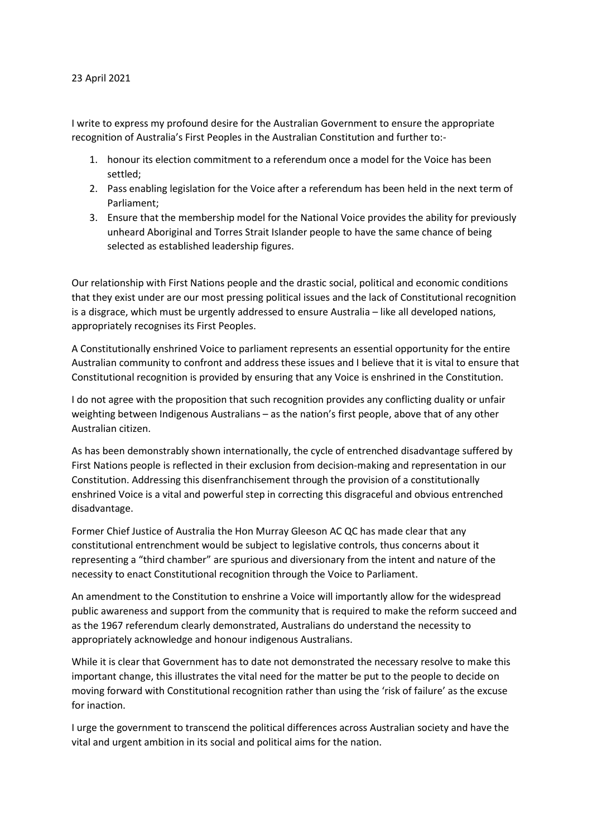## 23 April 2021

I write to express my profound desire for the Australian Government to ensure the appropriate recognition of Australia's First Peoples in the Australian Constitution and further to:-

- 1. honour its election commitment to a referendum once a model for the Voice has been settled;
- 2. Pass enabling legislation for the Voice after a referendum has been held in the next term of Parliament;
- 3. Ensure that the membership model for the National Voice provides the ability for previously unheard Aboriginal and Torres Strait Islander people to have the same chance of being selected as established leadership figures.

Our relationship with First Nations people and the drastic social, political and economic conditions that they exist under are our most pressing political issues and the lack of Constitutional recognition is a disgrace, which must be urgently addressed to ensure Australia – like all developed nations, appropriately recognises its First Peoples.

A Constitutionally enshrined Voice to parliament represents an essential opportunity for the entire Australian community to confront and address these issues and I believe that it is vital to ensure that Constitutional recognition is provided by ensuring that any Voice is enshrined in the Constitution.

I do not agree with the proposition that such recognition provides any conflicting duality or unfair weighting between Indigenous Australians – as the nation's first people, above that of any other Australian citizen.

As has been demonstrably shown internationally, the cycle of entrenched disadvantage suffered by First Nations people is reflected in their exclusion from decision-making and representation in our Constitution. Addressing this disenfranchisement through the provision of a constitutionally enshrined Voice is a vital and powerful step in correcting this disgraceful and obvious entrenched disadvantage.

Former Chief Justice of Australia the Hon Murray Gleeson AC QC has made clear that any constitutional entrenchment would be subject to legislative controls, thus concerns about it representing a "third chamber" are spurious and diversionary from the intent and nature of the necessity to enact Constitutional recognition through the Voice to Parliament.

An amendment to the Constitution to enshrine a Voice will importantly allow for the widespread public awareness and support from the community that is required to make the reform succeed and as the 1967 referendum clearly demonstrated, Australians do understand the necessity to appropriately acknowledge and honour indigenous Australians.

While it is clear that Government has to date not demonstrated the necessary resolve to make this important change, this illustrates the vital need for the matter be put to the people to decide on moving forward with Constitutional recognition rather than using the 'risk of failure' as the excuse for inaction.

I urge the government to transcend the political differences across Australian society and have the vital and urgent ambition in its social and political aims for the nation.